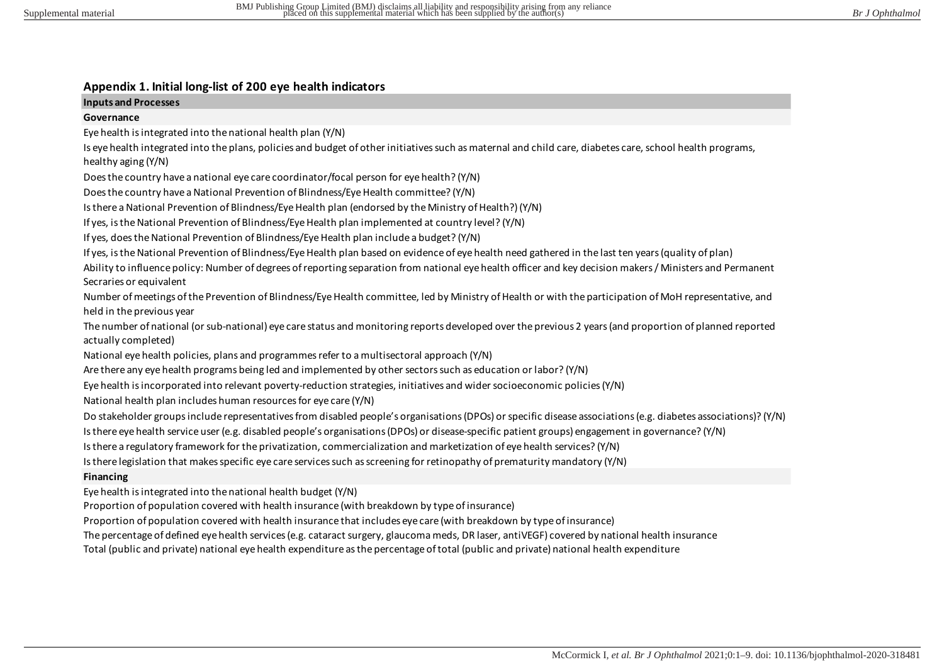# **Appendix 1. Initial long-list of 200 eye health indicators**

## **Inputs and Processes**

## **Governance**

Eye health is integrated into the national health plan (Y/N)

Is eye health integrated into the plans, policies and budget of other initiatives such as maternal and child care, diabetes care, school health programs, healthy aging (Y/N)

Does the country have a national eye care coordinator/focal person for eye health? (Y/N)

Does the country have a National Prevention of Blindness/Eye Health committee? (Y/N)

Is there a National Prevention of Blindness/Eye Health plan (endorsed by the Ministry of Health?) (Y/N)

If yes, is the National Prevention of Blindness/Eye Health plan implemented at country level? (Y/N)

If yes, does the National Prevention of Blindness/Eye Health plan include a budget? (Y/N)

If yes, is the National Prevention of Blindness/Eye Health plan based on evidence of eye health need gathered in the last ten years (quality of plan)

Ability to influence policy: Number of degrees of reporting separation from national eye health officer and key decision makers / Ministers and Permanent Secraries or equivalent

Number of meetings of the Prevention of Blindness/Eye Health committee, led by Ministry of Health or with the participation of MoH representative, and held in the previous year

The number of national (or sub-national) eye care status and monitoring reports developed over the previous 2 years (and proportion of planned reported actually completed)

National eye health policies, plans and programmes refer to a multisectoral approach (Y/N)

Are there any eye health programs being led and implemented by other sectors such as education or labor? (Y/N)

Eye health is incorporated into relevant poverty-reduction strategies, initiatives and wider socioeconomic policies (Y/N)

National health plan includes human resources for eye care (Y/N)

Do stakeholder groups include representatives from disabled people's organisations (DPOs) or specific disease associations (e.g. diabetes associations)? (Y/N)

Is there eye health service user (e.g. disabled people's organisations (DPOs) or disease-specific patient groups) engagement in governance? (Y/N)

Is there a regulatory framework for the privatization, commercialization and marketization of eye health services? (Y/N)

Is there legislation that makes specific eye care services such as screening for retinopathy of prematurity mandatory (Y/N)

# **Financing**

Eye health is integrated into the national health budget (Y/N)

Proportion of population covered with health insurance (with breakdown by type of insurance)

Proportion of population covered with health insurance that includes eye care (with breakdown by type of insurance)

The percentage of defined eye health services (e.g. cataract surgery, glaucoma meds, DR laser, antiVEGF) covered by national health insurance

Total (public and private) national eye health expenditure as the percentage of total (public and private) national health expenditure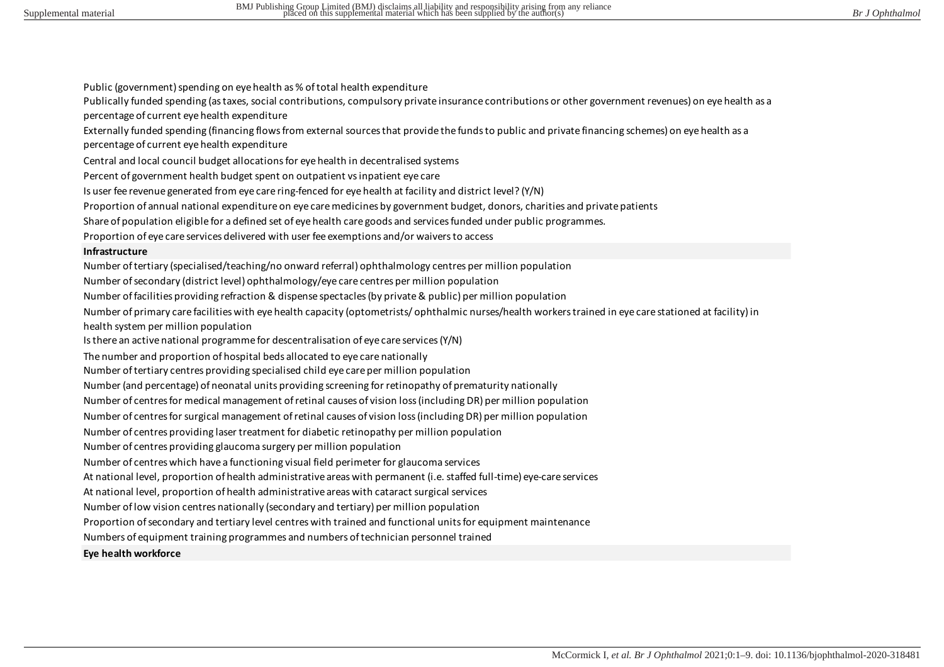Public (government) spending on eye health as % of total health expenditure

Publically funded spending (as taxes, social contributions, compulsory private insurance contributions or other government revenues) on eye health as a percentage of current eye health expenditure

Externally funded spending (financing flows from external sources that provide the funds to public and private financing schemes) on eye health as a percentage of current eye health expenditure

Central and local council budget allocations for eye health in decentralised systems

Percent of government health budget spent on outpatient vs inpatient eye care

Is user fee revenue generated from eye care ring-fenced for eye health at facility and district level? (Y/N)

Proportion of annual national expenditure on eye care medicines by government budget, donors, charities and private patients

Share of population eligible for a defined set of eye health care goods and services funded under public programmes.

Proportion of eye care services delivered with user fee exemptions and/or waivers to access

#### **Infrastructure**

Number of tertiary (specialised/teaching/no onward referral) ophthalmology centres per million population

Number of secondary (district level) ophthalmology/eye care centres per million population

Number of facilities providing refraction & dispense spectacles (by private & public) per million population

Number of primary care facilities with eye health capacity (optometrists/ ophthalmic nurses/health workers trained in eye care stationed at facility) in health system per million population

Is there an active national programme for descentralisation of eye care services (Y/N)

The number and proportion of hospital beds allocated to eye care nationally

Number of tertiary centres providing specialised child eye care per million population

Number (and percentage) of neonatal units providing screening for retinopathy of prematurity nationally

Number of centres for medical management of retinal causes of vision loss (including DR) per million population

Number of centres for surgical management of retinal causes of vision loss (including DR) per million population

Number of centres providing laser treatment for diabetic retinopathy per million population

Number of centres providing glaucoma surgery per million population

Number of centres which have a functioning visual field perimeter for glaucoma services

At national level, proportion of health administrative areas with permanent (i.e. staffed full-time) eye-care services

At national level, proportion of health administrative areas with cataract surgical services

Number of low vision centres nationally (secondary and tertiary) per million population

Proportion of secondary and tertiary level centres with trained and functional units for equipment maintenance

Numbers of equipment training programmes and numbers of technician personnel trained

#### **Eye health workforce**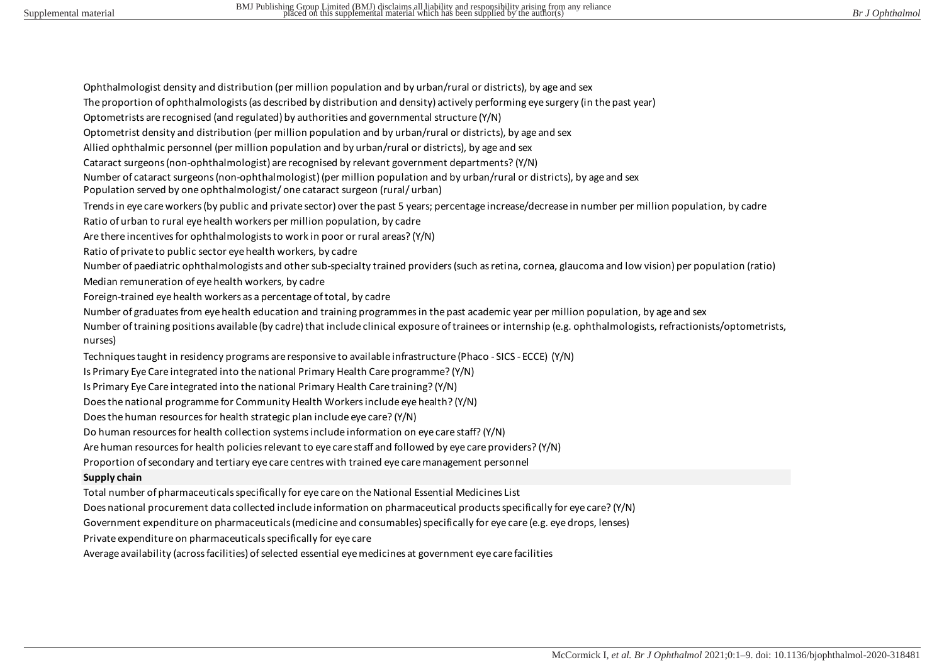Ophthalmologist density and distribution (per million population and by urban/rural or districts), by age and sex

The proportion of ophthalmologists (as described by distribution and density) actively performing eye surgery (in the past year)

Optometrists are recognised (and regulated) by authorities and governmental structure (Y/N)

Optometrist density and distribution (per million population and by urban/rural or districts), by age and sex

Allied ophthalmic personnel (per million population and by urban/rural or districts), by age and sex

Cataract surgeons (non-ophthalmologist) are recognised by relevant government departments? (Y/N)

Number of cataract surgeons (non-ophthalmologist) (per million population and by urban/rural or districts), by age and sex

Population served by one ophthalmologist/ one cataract surgeon (rural/ urban)

Trends in eye care workers (by public and private sector) over the past 5 years; percentage increase/decrease in number per million population, by cadre

Ratio of urban to rural eye health workers per million population, by cadre

Are there incentives for ophthalmologists to work in poor or rural areas? (Y/N)

Ratio of private to public sector eye health workers, by cadre

Number of paediatric ophthalmologists and other sub-specialty trained providers (such as retina, cornea, glaucoma and low vision) per population (ratio)

Median remuneration of eye health workers, by cadre

Foreign-trained eye health workers as a percentage of total, by cadre

Number of graduates from eye health education and training programmes in the past academic year per million population, by age and sex

Number of training positions available (by cadre) that include clinical exposure of trainees or internship (e.g. ophthalmologists, refractionists/optometrists, nurses)

Techniques taught in residency programs are responsive to available infrastructure (Phaco - SICS - ECCE) (Y/N)

Is Primary Eye Care integrated into the national Primary Health Care programme? (Y/N)

Is Primary Eye Care integrated into the national Primary Health Care training? (Y/N)

Does the national programme for Community Health Workers include eye health? (Y/N)

Does the human resources for health strategic plan include eye care? (Y/N)

Do human resources for health collection systems include information on eye care staff? (Y/N)

Are human resources for health policies relevant to eye care staff and followed by eye care providers? (Y/N)

Proportion of secondary and tertiary eye care centres with trained eye care management personnel

# **Supply chain**

Total number of pharmaceuticals specifically for eye care on the National Essential Medicines List

Does national procurement data collected include information on pharmaceutical products specifically for eye care? (Y/N)

Government expenditure on pharmaceuticals (medicine and consumables) specifically for eye care (e.g. eye drops, lenses)

Private expenditure on pharmaceuticals specifically for eye care

Average availability (across facilities) of selected essential eye medicines at government eye care facilities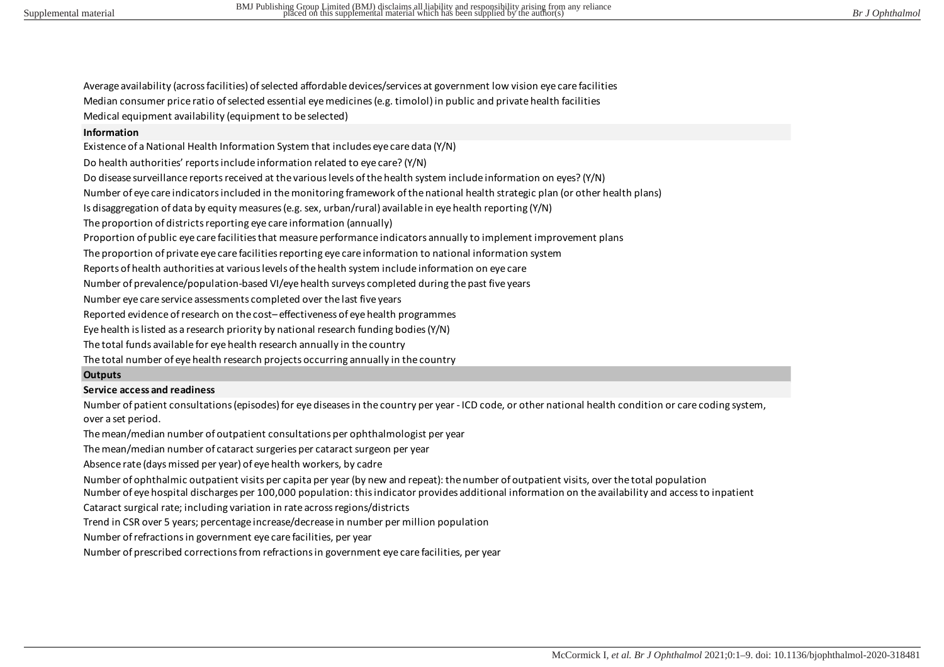Average availability (across facilities) of selected affordable devices/services at government low vision eye care facilities Median consumer price ratio of selected essential eye medicines (e.g. timolol) in public and private health facilities Medical equipment availability (equipment to be selected)

### **Information**

Existence of a National Health Information System that includes eye care data (Y/N)

Do health authorities' reports include information related to eye care? (Y/N)

Do disease surveillance reports received at the various levels of the health system include information on eyes? (Y/N)

Number of eye care indicators included in the monitoring framework of the national health strategic plan (or other health plans)

Is disaggregation of data by equity measures (e.g. sex, urban/rural) available in eye health reporting (Y/N)

The proportion of districts reporting eye care information (annually)

Proportion of public eye care facilities that measure performance indicators annually to implement improvement plans

The proportion of private eye care facilities reporting eye care information to national information system

Reports of health authorities at various levels of the health system include information on eye care

Number of prevalence/population-based VI/eye health surveys completed during the past five years

Number eye care service assessments completed over the last five years

Reported evidence of research on the cost– effectiveness of eye health programmes

Eye health is listed as a research priority by national research funding bodies (Y/N)

The total funds available for eye health research annually in the country

The total number of eye health research projects occurring annually in the country

#### **Outputs**

#### **Service access and readiness**

Number of patient consultations (episodes) for eye diseases in the country per year - ICD code, or other national health condition or care coding system, over a set period.

The mean/median number of outpatient consultations per ophthalmologist per year

The mean/median number of cataract surgeries per cataract surgeon per year

Absence rate (days missed per year) of eye health workers, by cadre

Number of ophthalmic outpatient visits per capita per year (by new and repeat): the number of outpatient visits, over the total population

Number of eye hospital discharges per 100,000 population: this indicator provides additional information on the availability and access to inpatient

Cataract surgical rate; including variation in rate across regions/districts

Trend in CSR over 5 years; percentage increase/decrease in number per million population

Number of refractions in government eye care facilities, per year

Number of prescribed corrections from refractions in government eye care facilities, per year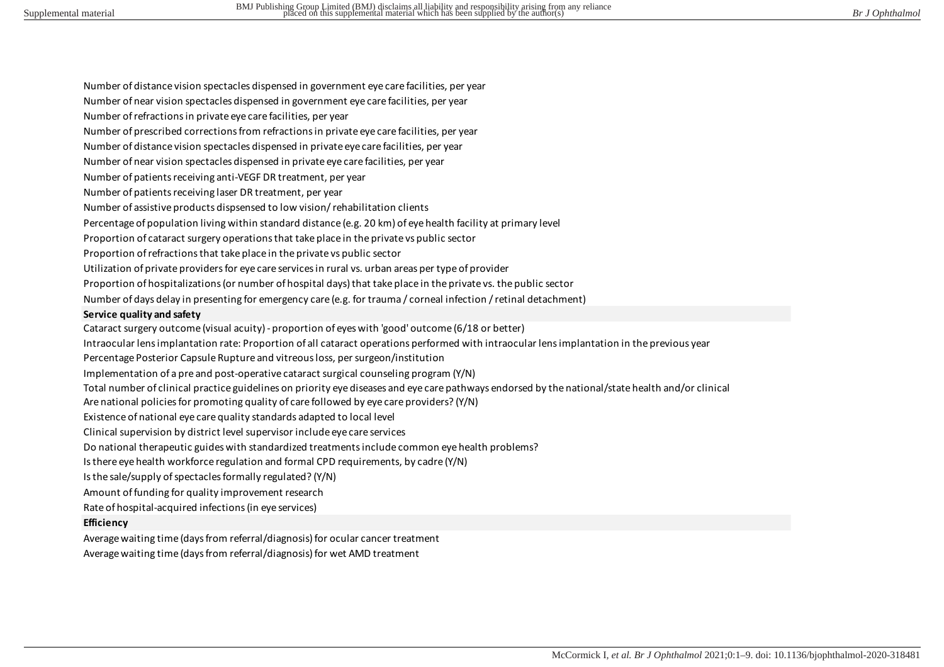Number of distance vision spectacles dispensed in government eye care facilities, per year Number of near vision spectacles dispensed in government eye care facilities, per year Number of refractions in private eye care facilities, per year Number of prescribed corrections from refractions in private eye care facilities, per year Number of distance vision spectacles dispensed in private eye care facilities, per year Number of near vision spectacles dispensed in private eye care facilities, per year Number of patients receiving anti-VEGF DR treatment, per year Number of patients receiving laser DR treatment, per year Number of assistive products dispsensed to low vision/ rehabilitation clients Percentage of population living within standard distance (e.g. 20 km) of eye health facility at primary level Proportion of cataract surgery operations that take place in the private vs public sector Proportion of refractions that take place in the private vs public sector Utilization of private providers for eye care services in rural vs. urban areas per type of provider Proportion of hospitalizations (or number of hospital days) that take place in the private vs. the public sector Number of days delay in presenting for emergency care (e.g. for trauma / corneal infection / retinal detachment) **Service quality and safety** Cataract surgery outcome (visual acuity) - proportion of eyes with 'good' outcome (6/18 or better) Intraocular lens implantation rate: Proportion of all cataract operations performed with intraocular lens implantation in the previous year Percentage Posterior Capsule Rupture and vitreous loss, per surgeon/institution Implementation of a pre and post-operative cataract surgical counseling program (Y/N) Total number of clinical practice guidelines on priority eye diseases and eye care pathways endorsed by the national/state health and/or clinical Are national policies for promoting quality of care followed by eye care providers? (Y/N) Existence of national eye care quality standards adapted to local level Clinical supervision by district level supervisor include eye care services Do national therapeutic guides with standardized treatments include common eye health problems? Is there eye health workforce regulation and formal CPD requirements, by cadre (Y/N) Is the sale/supply of spectacles formally regulated? (Y/N) Amount of funding for quality improvement research Rate of hospital-acquired infections (in eye services) **Efficiency** Average waiting time (days from referral/diagnosis) for ocular cancer treatment

Average waiting time (days from referral/diagnosis) for wet AMD treatment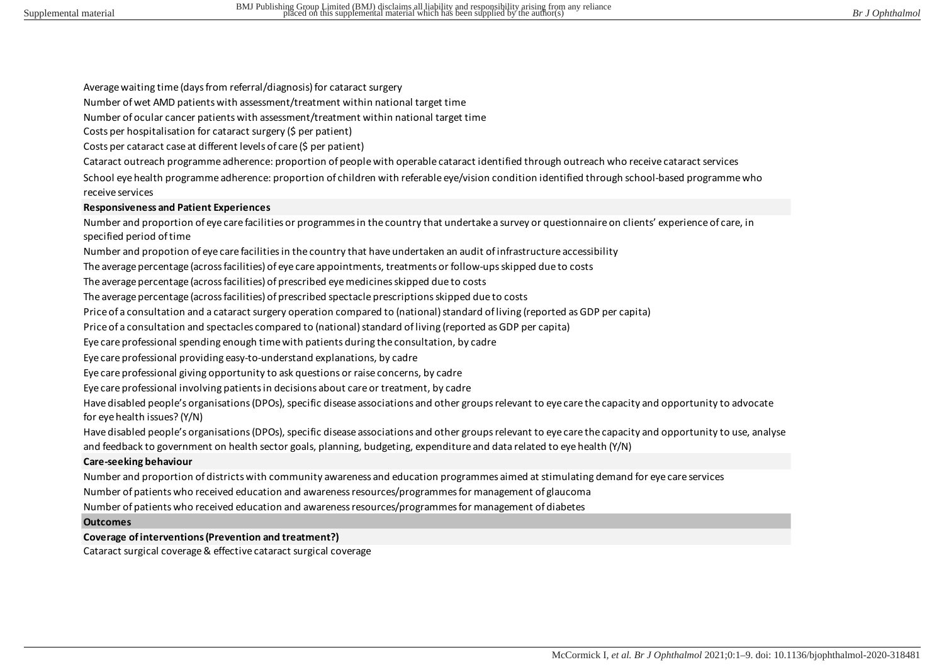Average waiting time (days from referral/diagnosis) for cataract surgery

Number of wet AMD patients with assessment/treatment within national target time

Number of ocular cancer patients with assessment/treatment within national target time

Costs per hospitalisation for cataract surgery (\$ per patient)

Costs per cataract case at different levels of care (\$ per patient)

Cataract outreach programme adherence: proportion of people with operable cataract identified through outreach who receive cataract services

School eye health programme adherence: proportion of children with referable eye/vision condition identified through school-based programme who receive services

#### **Responsiveness and Patient Experiences**

Number and proportion of eye care facilities or programmes in the country that undertake a survey or questionnaire on clients' experience of care, in specified period of time

Number and propotion of eye care facilities in the country that have undertaken an audit of infrastructure accessibility

The average percentage (across facilities) of eye care appointments, treatments or follow-ups skipped due to costs

The average percentage (across facilities) of prescribed eye medicines skipped due to costs

The average percentage (across facilities) of prescribed spectacle prescriptions skipped due to costs

Price of a consultation and a cataract surgery operation compared to (national) standard of living (reported as GDP per capita)

Price of a consultation and spectacles compared to (national) standard of living (reported as GDP per capita)

Eye care professional spending enough time with patients during the consultation, by cadre

Eye care professional providing easy-to-understand explanations, by cadre

Eye care professional giving opportunity to ask questions or raise concerns, by cadre

Eye care professional involving patients in decisions about care or treatment, by cadre

Have disabled people's organisations (DPOs), specific disease associations and other groups relevant to eye care the capacity and opportunity to advocate for eye health issues? (Y/N)

Have disabled people's organisations (DPOs), specific disease associations and other groups relevant to eye care the capacity and opportunity to use, analyse and feedback to government on health sector goals, planning, budgeting, expenditure and data related to eye health (Y/N)

#### **Care-seeking behaviour**

Number and proportion of districts with community awareness and education programmes aimed at stimulating demand for eye care services

Number of patients who received education and awareness resources/programmes for management of glaucoma

Number of patients who received education and awareness resources/programmes for management of diabetes

### **Outcomes**

### **Coverage of interventions (Prevention and treatment?)**

Cataract surgical coverage & effective cataract surgical coverage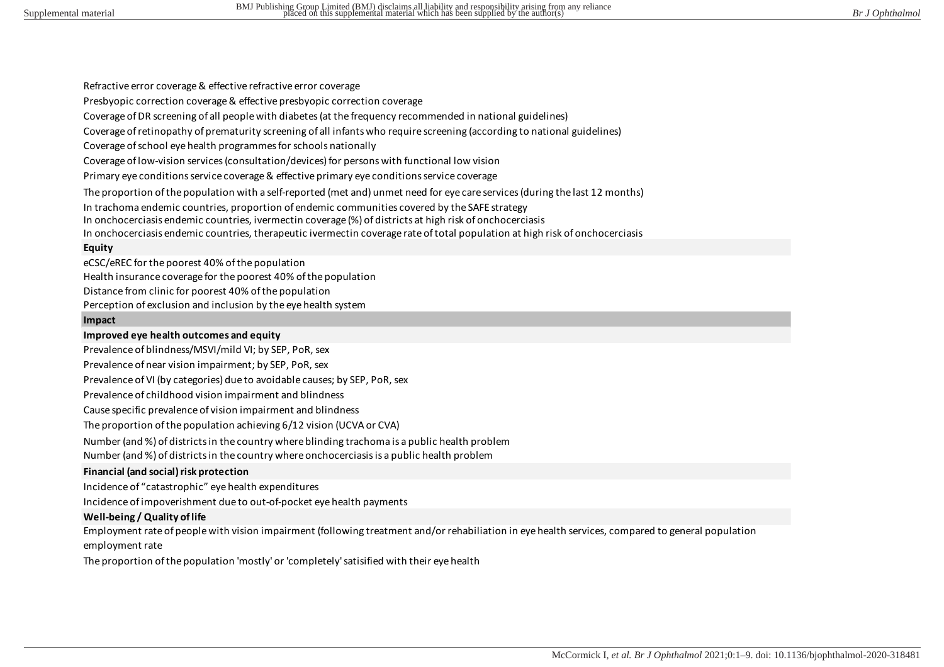Refractive error coverage & effective refractive error coverage

Presbyopic correction coverage & effective presbyopic correction coverage

Coverage of DR screening of all people with diabetes (at the frequency recommended in national guidelines)

Coverage of retinopathy of prematurity screening of all infants who require screening (according to national guidelines)

Coverage of school eye health programmes for schools nationally

Coverage of low-vision services (consultation/devices) for persons with functional low vision

Primary eye conditions service coverage & effective primary eye conditions service coverage

The proportion of the population with a self-reported (met and) unmet need for eye care services (during the last 12 months)

In trachoma endemic countries, proportion of endemic communities covered by the SAFE strategy

In onchocerciasis endemic countries, ivermectin coverage (%) of districts at high risk of onchocerciasis

In onchocerciasis endemic countries, therapeutic ivermectin coverage rate of total population at high risk of onchocerciasis

#### **Equity**

eCSC/eREC for the poorest 40% of the population

Health insurance coverage for the poorest 40% of the population

Distance from clinic for poorest 40% of the population

Perception of exclusion and inclusion by the eye health system

#### **Impact**

### **Improved eye health outcomes and equity**

Prevalence of blindness/MSVI/mild VI; by SEP, PoR, sex

Prevalence of near vision impairment; by SEP, PoR, sex

Prevalence of VI (by categories) due to avoidable causes; by SEP, PoR, sex

Prevalence of childhood vision impairment and blindness

Cause specific prevalence of vision impairment and blindness

The proportion of the population achieving 6/12 vision (UCVA or CVA)

Number (and %) of districts in the country where blinding trachoma is a public health problem Number (and %) of districts in the country where onchocerciasis is a public health problem

### **Financial (and social) risk protection**

Incidence of "catastrophic" eye health expenditures

Incidence of impoverishment due to out-of-pocket eye health payments

### **Well-being / Quality of life**

Employment rate of people with vision impairment (following treatment and/or rehabiliation in eye health services, compared to general population employment rate

The proportion of the population 'mostly' or 'completely' satisified with their eye health